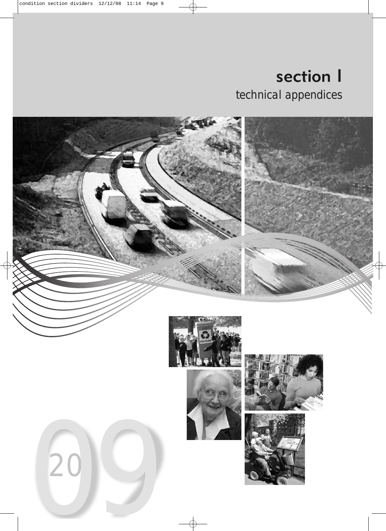section I technical appendices

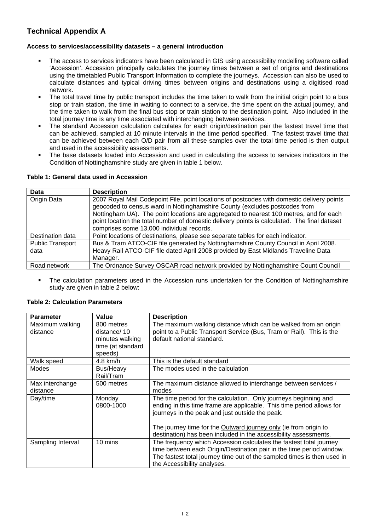# **Technical Appendix A**

### **Access to services/accessibility datasets – a general introduction**

- The access to services indicators have been calculated in GIS using accessibility modelling software called 'Accession'. Accession principally calculates the journey times between a set of origins and destinations using the timetabled Public Transport Information to complete the journeys. Accession can also be used to calculate distances and typical driving times between origins and destinations using a digitised road network.
- The total travel time by public transport includes the time taken to walk from the initial origin point to a bus stop or train station, the time in waiting to connect to a service, the time spent on the actual journey, and the time taken to walk from the final bus stop or train station to the destination point. Also included in the total journey time is any time associated with interchanging between services.
- The standard Accession calculation calculates for each origin/destination pair the fastest travel time that can be achieved, sampled at 10 minute intervals in the time period specified. The fastest travel time that can be achieved between each O/D pair from all these samples over the total time period is then output and used in the accessibility assessments.
- The base datasets loaded into Accession and used in calculating the access to services indicators in the Condition of Nottinghamshire study are given in table 1 below.

### **Table 1: General data used in Accession**

| <b>Data</b>             | <b>Description</b>                                                                           |
|-------------------------|----------------------------------------------------------------------------------------------|
| <b>Origin Data</b>      | 2007 Royal Mail Codepoint File, point locations of postcodes with domestic delivery points   |
|                         | geocoded to census ward in Nottinghamshire County (excludes postcodes from                   |
|                         | Nottingham UA). The point locations are aggregated to nearest 100 metres, and for each       |
|                         | point location the total number of domestic delivery points is calculated. The final dataset |
|                         | comprises some 13,000 individual records.                                                    |
| Destination data        | Point locations of destinations, please see separate tables for each indicator.              |
| <b>Public Transport</b> | Bus & Tram ATCO-CIF file generated by Nottinghamshire County Council in April 2008.          |
| data                    | Heavy Rail ATCO-CIF file dated April 2008 provided by East Midlands Traveline Data           |
|                         | Manager.                                                                                     |
| Road network            | The Ordnance Survey OSCAR road network provided by Nottinghamshire Count Council             |

 The calculation parameters used in the Accession runs undertaken for the Condition of Nottinghamshire study are given in table 2 below:

#### **Parameter Value Description** Maximum walking distance 800 metres distance/ 10 minutes walking time (at standard speeds) The maximum walking distance which can be walked from an origin point to a Public Transport Service (Bus, Tram or Rail). This is the default national standard. Walk speed 1.8 km/h This is the default standard Modes Bus/Heavy Rail/Tram The modes used in the calculation Max interchange distance 500 metres The maximum distance allowed to interchange between services / modes Day/time Monday 0800-1000 The time period for the calculation. Only journeys beginning and ending in this time frame are applicable. This time period allows for journeys in the peak and just outside the peak. The journey time for the Outward journey only (ie from origin to destination) has been included in the accessibility assessments. Sampling Interval 10 mins The frequency which Accession calculates the fastest total journey time between each Origin/Destination pair in the time period window. The fastest total journey time out of the sampled times is then used in the Accessibility analyses.

### **Table 2: Calculation Parameters**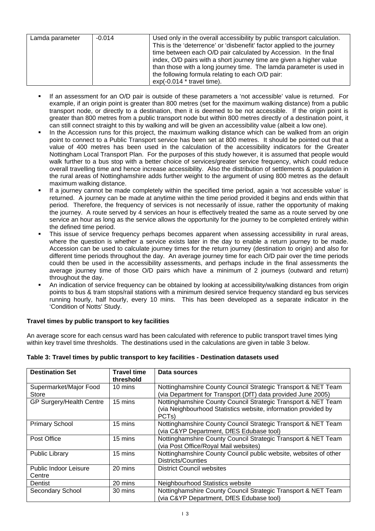| Lamda parameter | $-0.014$ | Used only in the overall accessibility by public transport calculation. |
|-----------------|----------|-------------------------------------------------------------------------|
|                 |          | This is the 'deterrence' or 'disbenefit' factor applied to the journey  |
|                 |          | time between each O/D pair calculated by Accession. In the final        |
|                 |          | index, O/D pairs with a short journey time are given a higher value     |
|                 |          | than those with a long journey time. The lamda parameter is used in     |
|                 |          | the following formula relating to each O/D pair:                        |
|                 |          | $exp(-0.014 * travel time).$                                            |

- If an assessment for an O/D pair is outside of these parameters a 'not accessible' value is returned. For example, if an origin point is greater than 800 metres (set for the maximum walking distance) from a public transport node, or directly to a destination, then it is deemed to be not accessible. If the origin point is greater than 800 metres from a public transport node but within 800 metres directly of a destination point, it can still connect straight to this by walking and will be given an accessibility value (albeit a low one).
- In the Accession runs for this project, the maximum walking distance which can be walked from an origin point to connect to a Public Transport service has been set at 800 metres. It should be pointed out that a value of 400 metres has been used in the calculation of the accessibility indicators for the Greater Nottingham Local Transport Plan. For the purposes of this study however, it is assumed that people would walk further to a bus stop with a better choice of services/greater service frequency, which could reduce overall travelling time and hence increase accessibility. Also the distribution of settlements & population in the rural areas of Nottinghamshire adds further weight to the argument of using 800 metres as the default maximum walking distance.
- If a journey cannot be made completely within the specified time period, again a 'not accessible value' is returned. A journey can be made at anytime within the time period provided it begins and ends within that period. Therefore, the frequency of services is not necessarily of issue, rather the opportunity of making the journey. A route served by 4 services an hour is effectively treated the same as a route served by one service an hour as long as the service allows the opportunity for the journey to be completed entirely within the defined time period.
- This issue of service frequency perhaps becomes apparent when assessing accessibility in rural areas, where the question is whether a service exists later in the day to enable a return journey to be made. Accession can be used to calculate journey times for the return journey (destination to origin) and also for different time periods throughout the day. An average journey time for each O/D pair over the time periods could then be used in the accessibility assessments, and perhaps include in the final assessments the average journey time of those O/D pairs which have a minimum of 2 journeys (outward and return) throughout the day.
- An indication of service frequency can be obtained by looking at accessibility/walking distances from origin points to bus & tram stops/rail stations with a minimum desired service frequency standard eg bus services running hourly, half hourly, every 10 mins. This has been developed as a separate indicator in the 'Condition of Notts' Study.

### **Travel times by public transport to key facilities**

An average score for each census ward has been calculated with reference to public transport travel times lying within key travel time thresholds. The destinations used in the calculations are given in table 3 below.

| <b>Destination Set</b>                 | <b>Travel time</b><br>threshold | Data sources                                                                                                                                          |
|----------------------------------------|---------------------------------|-------------------------------------------------------------------------------------------------------------------------------------------------------|
| Supermarket/Major Food<br>Store        | 10 mins                         | Nottinghamshire County Council Strategic Transport & NET Team<br>(via Department for Transport (DfT) data provided June 2005)                         |
| GP Surgery/Health Centre               | 15 mins                         | Nottinghamshire County Council Strategic Transport & NET Team<br>(via Neighbourhood Statistics website, information provided by<br>PCT <sub>s</sub> ) |
| <b>Primary School</b>                  | 15 mins                         | Nottinghamshire County Council Strategic Transport & NET Team<br>(via C&YP Department, DfES Edubase tool)                                             |
| Post Office                            | 15 mins                         | Nottinghamshire County Council Strategic Transport & NET Team<br>(via Post Office/Royal Mail websites)                                                |
| <b>Public Library</b>                  | 15 mins                         | Nottinghamshire County Council public website, websites of other<br>Districts/Counties                                                                |
| <b>Public Indoor Leisure</b><br>Centre | 20 mins                         | <b>District Council websites</b>                                                                                                                      |
| Dentist                                | 20 mins                         | Neighbourhood Statistics website                                                                                                                      |
| Secondary School                       | 30 mins                         | Nottinghamshire County Council Strategic Transport & NET Team<br>(via C&YP Department, DfES Edubase tool)                                             |

### **Table 3: Travel times by public transport to key facilities - Destination datasets used**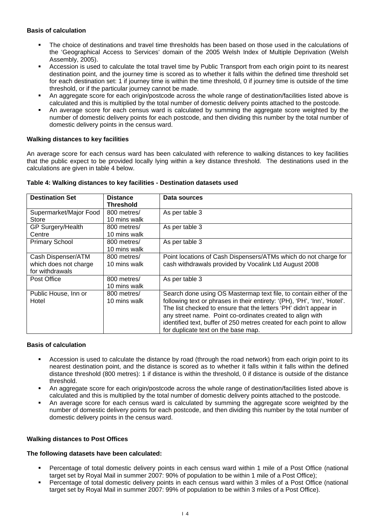### **Basis of calculation**

- The choice of destinations and travel time thresholds has been based on those used in the calculations of the 'Geographical Access to Services' domain of the 2005 Welsh Index of Multiple Deprivation (Welsh Assembly, 2005).
- Accession is used to calculate the total travel time by Public Transport from each origin point to its nearest destination point, and the journey time is scored as to whether it falls within the defined time threshold set for each destination set: 1 if journey time is within the time threshold, 0 if journey time is outside of the time threshold, or if the particular journey cannot be made.
- An aggregate score for each origin/postcode across the whole range of destination/facilities listed above is calculated and this is multiplied by the total number of domestic delivery points attached to the postcode.
- An average score for each census ward is calculated by summing the aggregate score weighted by the number of domestic delivery points for each postcode, and then dividing this number by the total number of domestic delivery points in the census ward.

### **Walking distances to key facilities**

An average score for each census ward has been calculated with reference to walking distances to key facilities that the public expect to be provided locally lying within a key distance threshold. The destinations used in the calculations are given in table 4 below.

| <b>Destination Set</b>                                         | <b>Distance</b><br><b>Threshold</b> | Data sources                                                                                                                                                                                                                                                                                                                                                                                      |
|----------------------------------------------------------------|-------------------------------------|---------------------------------------------------------------------------------------------------------------------------------------------------------------------------------------------------------------------------------------------------------------------------------------------------------------------------------------------------------------------------------------------------|
| Supermarket/Major Food<br>Store                                | 800 metres/<br>10 mins walk         | As per table 3                                                                                                                                                                                                                                                                                                                                                                                    |
| GP Surgery/Health<br>Centre                                    | 800 metres/<br>10 mins walk         | As per table 3                                                                                                                                                                                                                                                                                                                                                                                    |
| <b>Primary School</b>                                          | 800 metres/<br>10 mins walk         | As per table 3                                                                                                                                                                                                                                                                                                                                                                                    |
| Cash Dispenser/ATM<br>which does not charge<br>for withdrawals | 800 metres/<br>10 mins walk         | Point locations of Cash Dispensers/ATMs which do not charge for<br>cash withdrawals provided by Vocalink Ltd August 2008                                                                                                                                                                                                                                                                          |
| Post Office                                                    | 800 metres/<br>10 mins walk         | As per table 3                                                                                                                                                                                                                                                                                                                                                                                    |
| Public House, Inn or<br>Hotel                                  | 800 metres/<br>10 mins walk         | Search done using OS Mastermap text file, to contain either of the<br>following text or phrases in their entirety: '(PH), 'PH', 'Inn', 'Hotel'.<br>The list checked to ensure that the letters 'PH' didn't appear in<br>any street name. Point co-ordinates created to align with<br>identified text, buffer of 250 metres created for each point to allow<br>for duplicate text on the base map. |

### **Table 4: Walking distances to key facilities - Destination datasets used**

### **Basis of calculation**

- Accession is used to calculate the distance by road (through the road network) from each origin point to its nearest destination point, and the distance is scored as to whether it falls within it falls within the defined distance threshold (800 metres): 1 if distance is within the threshold, 0 if distance is outside of the distance threshold.
- An aggregate score for each origin/postcode across the whole range of destination/facilities listed above is calculated and this is multiplied by the total number of domestic delivery points attached to the postcode.
- An average score for each census ward is calculated by summing the aggregate score weighted by the number of domestic delivery points for each postcode, and then dividing this number by the total number of domestic delivery points in the census ward.

### **Walking distances to Post Offices**

### **The following datasets have been calculated:**

- Percentage of total domestic delivery points in each census ward within 1 mile of a Post Office (national target set by Royal Mail in summer 2007: 90% of population to be within 1 mile of a Post Office);
- Percentage of total domestic delivery points in each census ward within 3 miles of a Post Office (national target set by Royal Mail in summer 2007: 99% of population to be within 3 miles of a Post Office).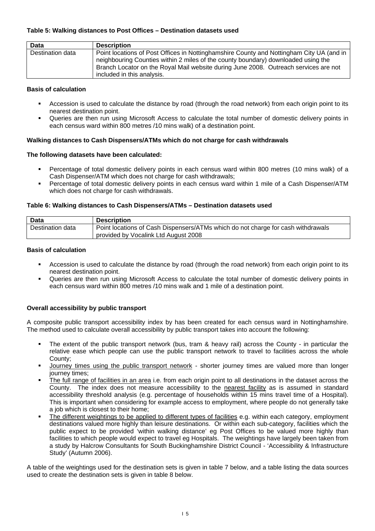### **Table 5: Walking distances to Post Offices – Destination datasets used**

| Data             | <b>Description</b>                                                                                                                                                                                                                                                                                  |
|------------------|-----------------------------------------------------------------------------------------------------------------------------------------------------------------------------------------------------------------------------------------------------------------------------------------------------|
| Destination data | Point locations of Post Offices in Nottinghamshire County and Nottingham City UA (and in<br>neighbouring Counties within 2 miles of the county boundary) downloaded using the<br>Branch Locator on the Royal Mail website during June 2008. Outreach services are not<br>included in this analysis. |

### **Basis of calculation**

- Accession is used to calculate the distance by road (through the road network) from each origin point to its nearest destination point.
- Queries are then run using Microsoft Access to calculate the total number of domestic delivery points in each census ward within 800 metres /10 mins walk) of a destination point.

### **Walking distances to Cash Dispensers/ATMs which do not charge for cash withdrawals**

### **The following datasets have been calculated:**

- Percentage of total domestic delivery points in each census ward within 800 metres (10 mins walk) of a Cash Dispenser/ATM which does not charge for cash withdrawals;
- Percentage of total domestic delivery points in each census ward within 1 mile of a Cash Dispenser/ATM which does not charge for cash withdrawals.

### **Table 6: Walking distances to Cash Dispensers/ATMs – Destination datasets used**

| Data             | <b>Description</b>                                                               |
|------------------|----------------------------------------------------------------------------------|
| Destination data | Point locations of Cash Dispensers/ATMs which do not charge for cash withdrawals |
|                  | provided by Vocalink Ltd August 2008                                             |

### **Basis of calculation**

- Accession is used to calculate the distance by road (through the road network) from each origin point to its nearest destination point.
- Queries are then run using Microsoft Access to calculate the total number of domestic delivery points in each census ward within 800 metres /10 mins walk and 1 mile of a destination point.

### **Overall accessibility by public transport**

A composite public transport accessibility index by has been created for each census ward in Nottinghamshire. The method used to calculate overall accessibility by public transport takes into account the following:

- The extent of the public transport network (bus, tram & heavy rail) across the County in particular the relative ease which people can use the public transport network to travel to facilities across the whole County;
- Journey times using the public transport network shorter journey times are valued more than longer journey times;
- The full range of facilities in an area i.e. from each origin point to all destinations in the dataset across the County. The index does not measure accessibility to the nearest facility as is assumed in standard accessibility threshold analysis (e.g. percentage of households within 15 mins travel time of a Hospital). This is important when considering for example access to employment, where people do not generally take a job which is closest to their home;
- The different weightings to be applied to different types of facilities e.g. within each category, employment destinations valued more highly than leisure destinations. Or within each sub-category, facilities which the public expect to be provided 'within walking distance' eg Post Offices to be valued more highly than facilities to which people would expect to travel eg Hospitals. The weightings have largely been taken from a study by Halcrow Consultants for South Buckinghamshire District Council - 'Accessibility & Infrastructure Study' (Autumn 2006).

A table of the weightings used for the destination sets is given in table 7 below, and a table listing the data sources used to create the destination sets is given in table 8 below.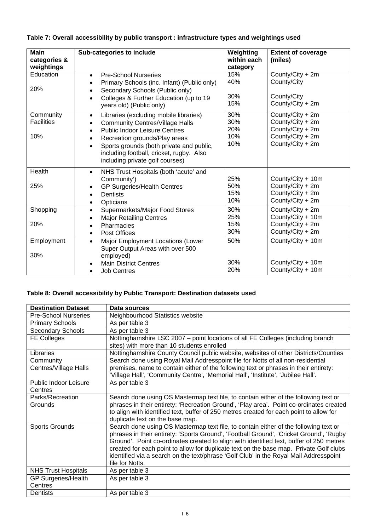| <b>Main</b><br>categories &<br>weightings | Sub-categories to include                                                                                                                                                                                                                                                                                                                             | Weighting<br>within each<br>category | <b>Extent of coverage</b><br>(miles)                                                             |
|-------------------------------------------|-------------------------------------------------------------------------------------------------------------------------------------------------------------------------------------------------------------------------------------------------------------------------------------------------------------------------------------------------------|--------------------------------------|--------------------------------------------------------------------------------------------------|
| Education<br>20%                          | <b>Pre-School Nurseries</b><br>$\bullet$<br>Primary Schools (inc. Infant) (Public only)<br>$\bullet$<br>Secondary Schools (Public only)<br>$\bullet$                                                                                                                                                                                                  | 15%<br>40%                           | County/City + 2m<br>County/City                                                                  |
|                                           | Colleges & Further Education (up to 19<br>$\bullet$<br>years old) (Public only)                                                                                                                                                                                                                                                                       | 30%<br>15%                           | County/City<br>County/City + 2m                                                                  |
| Community<br><b>Facilities</b><br>10%     | Libraries (excluding mobile libraries)<br>$\bullet$<br><b>Community Centres/Village Halls</b><br>$\bullet$<br><b>Public Indoor Leisure Centres</b><br>$\bullet$<br>Recreation grounds/Play areas<br>$\bullet$<br>Sports grounds (both private and public,<br>$\bullet$<br>including football, cricket, rugby. Also<br>including private golf courses) | 30%<br>30%<br>20%<br>10%<br>10%      | County/City + 2m<br>County/City + 2m<br>County/City + 2m<br>County/City + 2m<br>County/City + 2m |
| Health<br>25%                             | NHS Trust Hospitals (both 'acute' and<br>$\bullet$<br>Community')<br><b>GP Surgeries/Health Centres</b><br>$\bullet$<br><b>Dentists</b><br>$\bullet$<br>Opticians<br>$\bullet$                                                                                                                                                                        | 25%<br>50%<br>15%<br>10%             | County/City + 10m<br>County/City + 2m<br>County/City + 2m<br>County/City + 2m                    |
| Shopping<br>20%                           | Supermarkets/Major Food Stores<br>$\bullet$<br><b>Major Retailing Centres</b><br>$\bullet$<br>Pharmacies<br>$\bullet$<br>Post Offices<br>$\bullet$                                                                                                                                                                                                    | 30%<br>25%<br>15%<br>30%             | County/City + 2m<br>County/City + 10m<br>County/City + 2m<br>County/City + 2m                    |
| Employment<br>30%                         | Major Employment Locations (Lower<br>$\bullet$<br>Super Output Areas with over 500<br>employed)<br><b>Main District Centres</b>                                                                                                                                                                                                                       | 50%<br>30%                           | County/City + 10m<br>County/City + 10m                                                           |
|                                           | <b>Job Centres</b>                                                                                                                                                                                                                                                                                                                                    | 20%                                  | County/City + 10m                                                                                |

## **Table 7: Overall accessibility by public transport : infrastructure types and weightings used**

### **Table 8: Overall accessibility by Public Transport: Destination datasets used**

| <b>Destination Dataset</b>         | Data sources                                                                                                                                                                                                                                                                                                                                                                                                                                                                     |
|------------------------------------|----------------------------------------------------------------------------------------------------------------------------------------------------------------------------------------------------------------------------------------------------------------------------------------------------------------------------------------------------------------------------------------------------------------------------------------------------------------------------------|
| <b>Pre-School Nurseries</b>        | Neighbourhood Statistics website                                                                                                                                                                                                                                                                                                                                                                                                                                                 |
| <b>Primary Schools</b>             | As per table 3                                                                                                                                                                                                                                                                                                                                                                                                                                                                   |
| Secondary Schools                  | As per table 3                                                                                                                                                                                                                                                                                                                                                                                                                                                                   |
| <b>FE Colleges</b>                 | Nottinghamshire LSC 2007 – point locations of all FE Colleges (including branch<br>sites) with more than 10 students enrolled                                                                                                                                                                                                                                                                                                                                                    |
| Libraries                          | Nottinghamshire County Council public website, websites of other Districts/Counties                                                                                                                                                                                                                                                                                                                                                                                              |
| Community<br>Centres/Village Halls | Search done using Royal Mail Addresspoint file for Notts of all non-residential<br>premises, name to contain either of the following text or phrases in their entirety:<br>'Village Hall', 'Community Centre', 'Memorial Hall', 'Institute', 'Jubilee Hall'.                                                                                                                                                                                                                     |
| Public Indoor Leisure<br>Centres   | As per table 3                                                                                                                                                                                                                                                                                                                                                                                                                                                                   |
| Parks/Recreation<br>Grounds        | Search done using OS Mastermap text file, to contain either of the following text or<br>phrases in their entirety: 'Recreation Ground', 'Play area'. Point co-ordinates created<br>to align with identified text, buffer of 250 metres created for each point to allow for<br>duplicate text on the base map.                                                                                                                                                                    |
| <b>Sports Grounds</b>              | Search done using OS Mastermap text file, to contain either of the following text or<br>phrases in their entirety: 'Sports Ground', 'Football Ground', 'Cricket Ground', 'Rugby<br>Ground'. Point co-ordinates created to align with identified text, buffer of 250 metres<br>created for each point to allow for duplicate text on the base map. Private Golf clubs<br>identified via a search on the text/phrase 'Golf Club' in the Royal Mail Addresspoint<br>file for Notts. |
| <b>NHS Trust Hospitals</b>         | As per table 3                                                                                                                                                                                                                                                                                                                                                                                                                                                                   |
| <b>GP Surgeries/Health</b>         | As per table 3                                                                                                                                                                                                                                                                                                                                                                                                                                                                   |
| Centres                            |                                                                                                                                                                                                                                                                                                                                                                                                                                                                                  |
| Dentists                           | As per table 3                                                                                                                                                                                                                                                                                                                                                                                                                                                                   |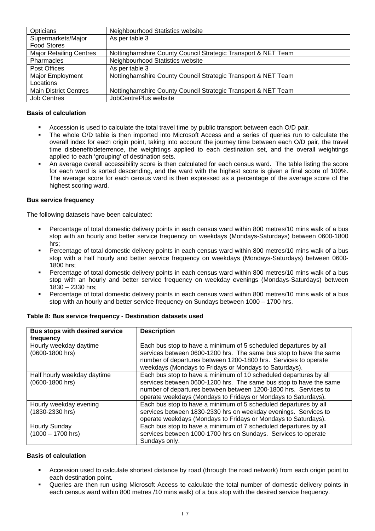| Opticians                      | Neighbourhood Statistics website                              |
|--------------------------------|---------------------------------------------------------------|
| Supermarkets/Major             | As per table 3                                                |
| <b>Food Stores</b>             |                                                               |
| <b>Major Retailing Centres</b> | Nottinghamshire County Council Strategic Transport & NET Team |
| <b>Pharmacies</b>              | Neighbourhood Statistics website                              |
| Post Offices                   | As per table 3                                                |
| Major Employment               | Nottinghamshire County Council Strategic Transport & NET Team |
| Locations                      |                                                               |
| <b>Main District Centres</b>   | Nottinghamshire County Council Strategic Transport & NET Team |
| <b>Job Centres</b>             | JobCentrePlus website                                         |

### **Basis of calculation**

- Accession is used to calculate the total travel time by public transport between each O/D pair.
- The whole O/D table is then imported into Microsoft Access and a series of queries run to calculate the overall index for each origin point, taking into account the journey time between each O/D pair, the travel time disbenefit/deterrence, the weightings applied to each destination set, and the overall weightings applied to each 'grouping' of destination sets.
- An average overall accessibility score is then calculated for each census ward. The table listing the score for each ward is sorted descending, and the ward with the highest score is given a final score of 100%. The average score for each census ward is then expressed as a percentage of the average score of the highest scoring ward.

### **Bus service frequency**

The following datasets have been calculated:

- Percentage of total domestic delivery points in each census ward within 800 metres/10 mins walk of a bus stop with an hourly and better service frequency on weekdays (Mondays-Saturdays) between 0600-1800 hrs;
- Percentage of total domestic delivery points in each census ward within 800 metres/10 mins walk of a bus stop with a half hourly and better service frequency on weekdays (Mondays-Saturdays) between 0600- 1800 hrs;
- Percentage of total domestic delivery points in each census ward within 800 metres/10 mins walk of a bus stop with an hourly and better service frequency on weekday evenings (Mondays-Saturdays) between 1830 – 2330 hrs;
- Percentage of total domestic delivery points in each census ward within 800 metres/10 mins walk of a bus stop with an hourly and better service frequency on Sundays between 1000 – 1700 hrs.

| Bus stops with desired service | <b>Description</b>                                                 |
|--------------------------------|--------------------------------------------------------------------|
| frequency                      |                                                                    |
| Hourly weekday daytime         | Each bus stop to have a minimum of 5 scheduled departures by all   |
| (0600-1800 hrs)                | services between 0600-1200 hrs. The same bus stop to have the same |
|                                | number of departures between 1200-1800 hrs. Services to operate    |
|                                | weekdays (Mondays to Fridays or Mondays to Saturdays).             |
| Half hourly weekday daytime    | Each bus stop to have a minimum of 10 scheduled departures by all  |
| (0600-1800 hrs)                | services between 0600-1200 hrs. The same bus stop to have the same |
|                                | number of departures between between 1200-1800 hrs. Services to    |
|                                | operate weekdays (Mondays to Fridays or Mondays to Saturdays).     |
| Hourly weekday evening         | Each bus stop to have a minimum of 5 scheduled departures by all   |
| (1830-2330 hrs)                | services between 1830-2330 hrs on weekday evenings. Services to    |
|                                | operate weekdays (Mondays to Fridays or Mondays to Saturdays).     |
| Hourly Sunday                  | Each bus stop to have a minimum of 7 scheduled departures by all   |
| $(1000 - 1700$ hrs)            | services between 1000-1700 hrs on Sundays. Services to operate     |
|                                | Sundays only.                                                      |

**Table 8: Bus service frequency - Destination datasets used** 

### **Basis of calculation**

- Accession used to calculate shortest distance by road (through the road network) from each origin point to each destination point.
- Queries are then run using Microsoft Access to calculate the total number of domestic delivery points in each census ward within 800 metres /10 mins walk) of a bus stop with the desired service frequency.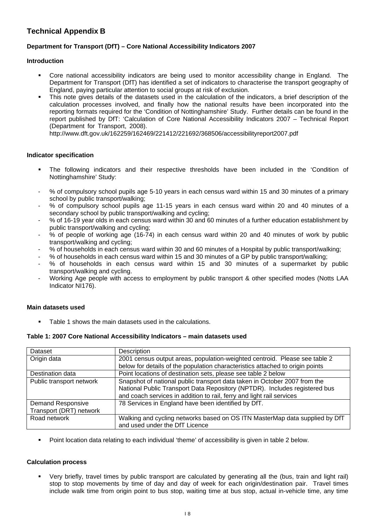# **Technical Appendix B**

### **Department for Transport (DfT) – Core National Accessibility Indicators 2007**

### **Introduction**

- Core national accessibility indicators are being used to monitor accessibility change in England. The Department for Transport (DfT) has identified a set of indicators to characterise the transport geography of England, paying particular attention to social groups at risk of exclusion.
- This note gives details of the datasets used in the calculation of the indicators, a brief description of the calculation processes involved, and finally how the national results have been incorporated into the reporting formats required for the 'Condition of Nottinghamshire' Study. Further details can be found in the report published by DfT: 'Calculation of Core National Accessibility Indicators 2007 – Technical Report (Department for Transport, 2008).

http://www.dft.gov.uk/162259/162469/221412/221692/368506/accessibilityreport2007.pdf

### **Indicator specification**

- The following indicators and their respective thresholds have been included in the 'Condition of Nottinghamshire' Study:
- % of compulsory school pupils age 5-10 years in each census ward within 15 and 30 minutes of a primary school by public transport/walking;
- % of compulsory school pupils age 11-15 years in each census ward within 20 and 40 minutes of a secondary school by public transport/walking and cycling;
- % of 16-19 year olds in each census ward within 30 and 60 minutes of a further education establishment by public transport/walking and cycling;
- % of people of working age (16-74) in each census ward within 20 and 40 minutes of work by public transport/walking and cycling;
- % of households in each census ward within 30 and 60 minutes of a Hospital by public transport/walking;
- % of households in each census ward within 15 and 30 minutes of a GP by public transport/walking;
- % of households in each census ward within 15 and 30 minutes of a supermarket by public transport/walking and cycling.
- Working Age people with access to employment by public transport & other specified modes (Notts LAA Indicator NI176).

### **Main datasets used**

Table 1 shows the main datasets used in the calculations.

### **Table 1: 2007 Core National Accessibility Indicators – main datasets used**

| Dataset                  | Description                                                                   |
|--------------------------|-------------------------------------------------------------------------------|
| Origin data              | 2001 census output areas, population-weighted centroid. Please see table 2    |
|                          | below for details of the population characteristics attached to origin points |
| Destination data         | Point locations of destination sets, please see table 2 below                 |
| Public transport network | Snapshot of national public transport data taken in October 2007 from the     |
|                          | National Public Transport Data Repository (NPTDR). Includes registered bus    |
|                          | and coach services in addition to rail, ferry and light rail services         |
| <b>Demand Responsive</b> | 78 Services in England have been identified by DfT.                           |
| Transport (DRT) network  |                                                                               |
| Road network             | Walking and cycling networks based on OS ITN MasterMap data supplied by DfT   |
|                          | and used under the DfT Licence                                                |

Point location data relating to each individual 'theme' of accessibility is given in table 2 below.

### **Calculation process**

 Very briefly, travel times by public transport are calculated by generating all the (bus, train and light rail) stop to stop movements by time of day and day of week for each origin/destination pair. Travel times include walk time from origin point to bus stop, waiting time at bus stop, actual in-vehicle time, any time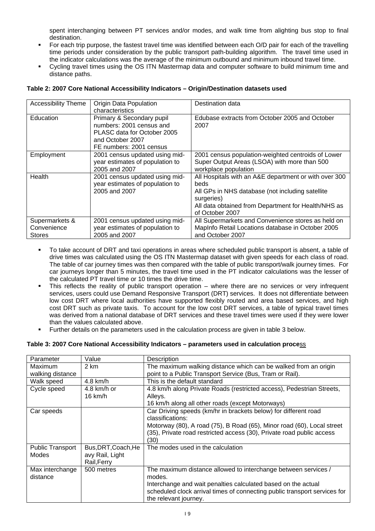spent interchanging between PT services and/or modes, and walk time from alighting bus stop to final destination.

- For each trip purpose, the fastest travel time was identified between each O/D pair for each of the travelling time periods under consideration by the public transport path-building algorithm. The travel time used in the indicator calculations was the average of the minimum outbound and minimum inbound travel time.
- Cycling travel times using the OS ITN Mastermap data and computer software to build minimum time and distance paths.

| <b>Accessibility Theme</b>                     | <b>Origin Data Population</b><br>characteristics                                                                                    | Destination data                                                                                                                                                                                          |
|------------------------------------------------|-------------------------------------------------------------------------------------------------------------------------------------|-----------------------------------------------------------------------------------------------------------------------------------------------------------------------------------------------------------|
| Education                                      | Primary & Secondary pupil<br>numbers: 2001 census and<br>PLASC data for October 2005<br>and October 2007<br>FE numbers: 2001 census | Edubase extracts from October 2005 and October<br>2007                                                                                                                                                    |
| Employment                                     | 2001 census updated using mid-<br>year estimates of population to<br>2005 and 2007                                                  | 2001 census population-weighted centroids of Lower<br>Super Output Areas (LSOA) with more than 500<br>workplace population                                                                                |
| Health                                         | 2001 census updated using mid-<br>year estimates of population to<br>2005 and 2007                                                  | All Hospitals with an A&E department or with over 300<br>beds<br>All GPs in NHS database (not including satellite<br>surgeries)<br>All data obtained from Department for Health/NHS as<br>of October 2007 |
| Supermarkets &<br>Convenience<br><b>Stores</b> | 2001 census updated using mid-<br>year estimates of population to<br>2005 and 2007                                                  | All Supermarkets and Convenience stores as held on<br>MapInfo Retail Locations database in October 2005<br>and October 2007                                                                               |

- To take account of DRT and taxi operations in areas where scheduled public transport is absent, a table of drive times was calculated using the OS ITN Mastermap dataset with given speeds for each class of road. The table of car journey times was then compared with the table of public transport/walk journey times. For car journeys longer than 5 minutes, the travel time used in the PT indicator calculations was the lesser of the calculated PT travel time or 10 times the drive time.
- This reflects the reality of public transport operation where there are no services or very infrequent services, users could use Demand Responsive Transport (DRT) services. It does not differentiate between low cost DRT where local authorities have supported flexibly routed and area based services, and high cost DRT such as private taxis. To account for the low cost DRT services, a table of typical travel times was derived from a national database of DRT services and these travel times were used if they were lower than the values calculated above.
- Further details on the parameters used in the calculation process are given in table 3 below.

### **Table 3: 2007 Core National Accessibility Indicators – parameters used in calculation proce**ss

| Parameter               | Value               | Description                                                               |
|-------------------------|---------------------|---------------------------------------------------------------------------|
| Maximum                 | 2 km                | The maximum walking distance which can be walked from an origin           |
| walking distance        |                     | point to a Public Transport Service (Bus, Tram or Rail).                  |
| Walk speed              | 4.8 km/h            | This is the default standard                                              |
| Cycle speed             | 4.8 km/h or         | 4.8 km/h along Private Roads (restricted access), Pedestrian Streets,     |
|                         | $16$ km/h           | Alleys.                                                                   |
|                         |                     | 16 km/h along all other roads (except Motorways)                          |
| Car speeds              |                     | Car Driving speeds (km/hr in brackets below) for different road           |
|                         |                     | classifications:                                                          |
|                         |                     | Motorway (80), A road (75), B Road (65), Minor road (60), Local street    |
|                         |                     | (35), Private road restricted access (30), Private road public access     |
|                         |                     | (30)                                                                      |
| <b>Public Transport</b> | Bus, DRT, Coach, He | The modes used in the calculation                                         |
| Modes                   | avy Rail, Light     |                                                                           |
|                         | Rail, Ferry         |                                                                           |
| Max interchange         | 500 metres          | The maximum distance allowed to interchange between services /            |
| distance                |                     | modes.                                                                    |
|                         |                     | Interchange and wait penalties calculated based on the actual             |
|                         |                     | scheduled clock arrival times of connecting public transport services for |
|                         |                     | the relevant journey.                                                     |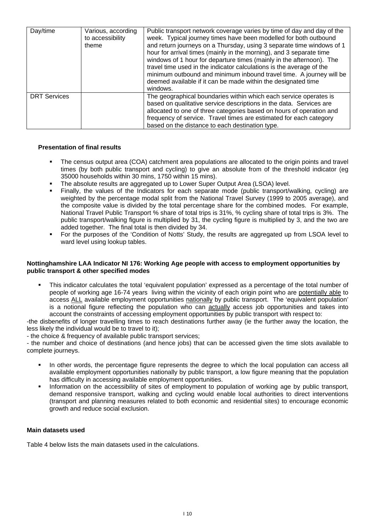| Day/time            | Various, according<br>to accessibility<br>theme | Public transport network coverage varies by time of day and day of the<br>week. Typical journey times have been modelled for both outbound<br>and return journeys on a Thursday, using 3 separate time windows of 1<br>hour for arrival times (mainly in the morning), and 3 separate time<br>windows of 1 hour for departure times (mainly in the afternoon). The<br>travel time used in the indicator calculations is the average of the<br>minimum outbound and minimum inbound travel time. A journey will be<br>deemed available if it can be made within the designated time<br>windows. |
|---------------------|-------------------------------------------------|------------------------------------------------------------------------------------------------------------------------------------------------------------------------------------------------------------------------------------------------------------------------------------------------------------------------------------------------------------------------------------------------------------------------------------------------------------------------------------------------------------------------------------------------------------------------------------------------|
| <b>DRT Services</b> |                                                 | The geographical boundaries within which each service operates is<br>based on qualitative service descriptions in the data. Services are<br>allocated to one of three categories based on hours of operation and<br>frequency of service. Travel times are estimated for each category<br>based on the distance to each destination type.                                                                                                                                                                                                                                                      |

### **Presentation of final results**

- The census output area (COA) catchment area populations are allocated to the origin points and travel times (by both public transport and cycling) to give an absolute from of the threshold indicator (eg 35000 households within 30 mins, 1750 within 15 mins).
- The absolute results are aggregated up to Lower Super Output Area (LSOA) level.
- Finally, the values of the Indicators for each separate mode (public transport/walking, cycling) are weighted by the percentage modal split from the National Travel Survey (1999 to 2005 average), and the composite value is divided by the total percentage share for the combined modes. For example, National Travel Public Transport % share of total trips is 31%, % cycling share of total trips is 3%. The public transport/walking figure is multiplied by 31, the cycling figure is multiplied by 3, and the two are added together. The final total is then divided by 34.
- For the purposes of the 'Condition of Notts' Study, the results are aggregated up from LSOA level to ward level using lookup tables.

### **Nottinghamshire LAA Indicator NI 176: Working Age people with access to employment opportunities by public transport & other specified modes**

 This indicator calculates the total 'equivalent population' expressed as a percentage of the total number of people of working age 16-74 years living within the vicinity of each origin point who are potentially able to access ALL available employment opportunities nationally by public transport. The 'equivalent population' is a notional figure reflecting the population who can actually access job opportunities and takes into account the constraints of accessing employment opportunities by public transport with respect to:

-the disbenefits of longer travelling times to reach destinations further away (ie the further away the location, the less likely the individual would be to travel to it);

- the choice & frequency of available public transport services;

- the number and choice of destinations (and hence jobs) that can be accessed given the time slots available to complete journeys.

- In other words, the percentage figure represents the degree to which the local population can access all available employment opportunities nationally by public transport, a low figure meaning that the population has difficulty in accessing available employment opportunities.
- Information on the accessibility of sites of employment to population of working age by public transport, demand responsive transport, walking and cycling would enable local authorities to direct interventions (transport and planning measures related to both economic and residential sites) to encourage economic growth and reduce social exclusion.

### **Main datasets used**

Table 4 below lists the main datasets used in the calculations.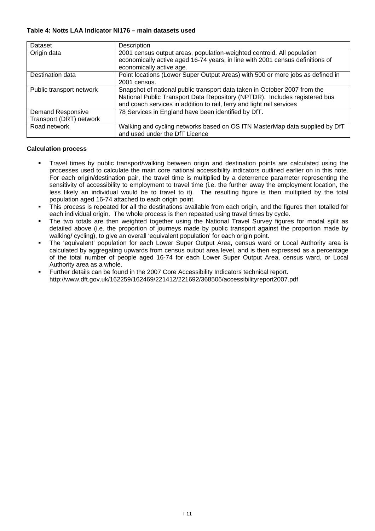### **Table 4: Notts LAA Indicator NI176 – main datasets used**

| Dataset                  | Description                                                                                                                                                                                                                      |
|--------------------------|----------------------------------------------------------------------------------------------------------------------------------------------------------------------------------------------------------------------------------|
| Origin data              | 2001 census output areas, population-weighted centroid. All population<br>economically active aged 16-74 years, in line with 2001 census definitions of                                                                          |
|                          | economically active age.                                                                                                                                                                                                         |
| Destination data         | Point locations (Lower Super Output Areas) with 500 or more jobs as defined in                                                                                                                                                   |
|                          | 2001 census.                                                                                                                                                                                                                     |
| Public transport network | Snapshot of national public transport data taken in October 2007 from the<br>National Public Transport Data Repository (NPTDR). Includes registered bus<br>and coach services in addition to rail, ferry and light rail services |
| <b>Demand Responsive</b> | 78 Services in England have been identified by DfT.                                                                                                                                                                              |
| Transport (DRT) network  |                                                                                                                                                                                                                                  |
| Road network             | Walking and cycling networks based on OS ITN MasterMap data supplied by DfT<br>and used under the DfT Licence                                                                                                                    |

### **Calculation process**

- Travel times by public transport/walking between origin and destination points are calculated using the processes used to calculate the main core national accessibility indicators outlined earlier on in this note. For each origin/destination pair, the travel time is multiplied by a deterrence parameter representing the sensitivity of accessibility to employment to travel time (i.e. the further away the employment location, the less likely an individual would be to travel to it). The resulting figure is then multiplied by the total population aged 16-74 attached to each origin point.
- This process is repeated for all the destinations available from each origin, and the figures then totalled for each individual origin. The whole process is then repeated using travel times by cycle.
- The two totals are then weighted together using the National Travel Survey figures for modal split as detailed above (i.e. the proportion of journeys made by public transport against the proportion made by walking/ cycling), to give an overall 'equivalent population' for each origin point.
- The 'equivalent' population for each Lower Super Output Area, census ward or Local Authority area is calculated by aggregating upwards from census output area level, and is then expressed as a percentage of the total number of people aged 16-74 for each Lower Super Output Area, census ward, or Local Authority area as a whole.
- Further details can be found in the 2007 Core Accessibility Indicators technical report. . http://www.dft.gov.uk/162259/162469/221412/221692/368506/accessibilityreport2007.pdf